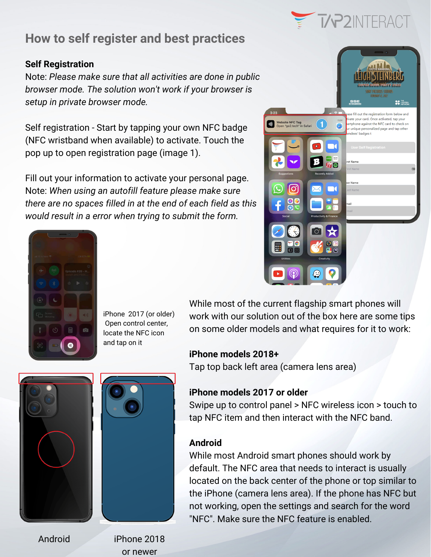

 $\overline{\mathscr{C}}$ 

e fill out the registration form below and ate your card. Once activated, tap your

artphone against the NFC card to check on

unique personalized page and tap other

es' badges t

# **How to self register and best practices**

#### **Self Registration**

Note: *Please make sure that all activities are done in public browser mode. The solution won't work if your browser is setup in private browser mode.*

Self registration - Start by tapping your own NFC badge (NFC wristband when available) to activate. Touch the pop up to open registration page (image 1).

Fill out your information to activate your personal page. Note: *When using an autofill feature please make sure there are no spaces filled in at the end of each field as this would result in a error when trying to submit the form.*



iPhone 2017 (or older) Open control center, locate the NFC icon and tap on it

While most of the current flagship smart phones will work with our solution out of the box here are some tips on some older models and what requires for it to work:

Website NFC Tag<br>Open "go2.tech" in Safari

#### **iPhone models 2018+**

Tap top back left area (camera lens area)

### **iPhone models 2017 or older**

Swipe up to control panel > NFC wireless icon > touch to tap NFC item and then interact with the NFC band.

### **Android**

While most Android smart phones should work by default. The NFC area that needs to interact is usually located on the back center of the phone or top similar to the iPhone (camera lens area). If the phone has NFC but not working, open the settings and search for the word "NFC". Make sure the NFC feature is enabled.





Android

iPhone 2018 or newer